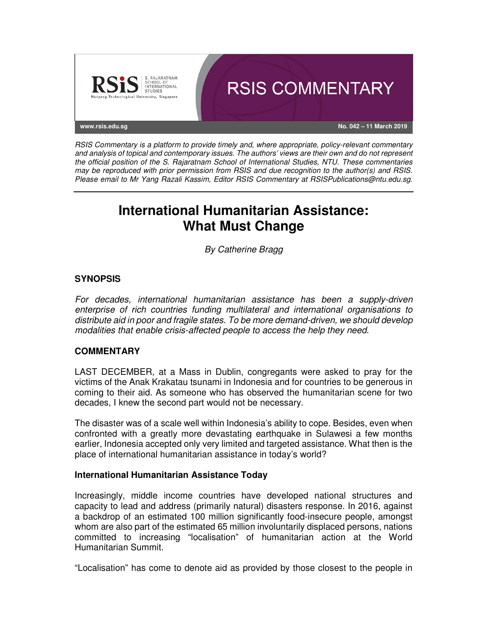

RSIS Commentary is a platform to provide timely and, where appropriate, policy-relevant commentary and analysis of topical and contemporary issues. The authors' views are their own and do not represent the official position of the S. Rajaratnam School of International Studies, NTU. These commentaries may be reproduced with prior permission from RSIS and due recognition to the author(s) and RSIS. Please email to Mr Yang Razali Kassim, Editor RSIS Commentary at RSISPublications@ntu.edu.sg.

# **International Humanitarian Assistance: What Must Change**

By Catherine Bragg

# **SYNOPSIS**

For decades, international humanitarian assistance has been a supply-driven enterprise of rich countries funding multilateral and international organisations to distribute aid in poor and fragile states. To be more demand-driven, we should develop modalities that enable crisis-affected people to access the help they need.

## **COMMENTARY**

LAST DECEMBER, at a Mass in Dublin, congregants were asked to pray for the victims of the Anak Krakatau tsunami in Indonesia and for countries to be generous in coming to their aid. As someone who has observed the humanitarian scene for two decades, I knew the second part would not be necessary.

The disaster was of a scale well within Indonesia's ability to cope. Besides, even when confronted with a greatly more devastating earthquake in Sulawesi a few months earlier, Indonesia accepted only very limited and targeted assistance. What then is the place of international humanitarian assistance in today's world?

## **International Humanitarian Assistance Today**

Increasingly, middle income countries have developed national structures and capacity to lead and address (primarily natural) disasters response. In 2016, against a backdrop of an estimated 100 million significantly food-insecure people, amongst whom are also part of the estimated 65 million involuntarily displaced persons, nations committed to increasing "localisation" of humanitarian action at the World Humanitarian Summit.

"Localisation" has come to denote aid as provided by those closest to the people in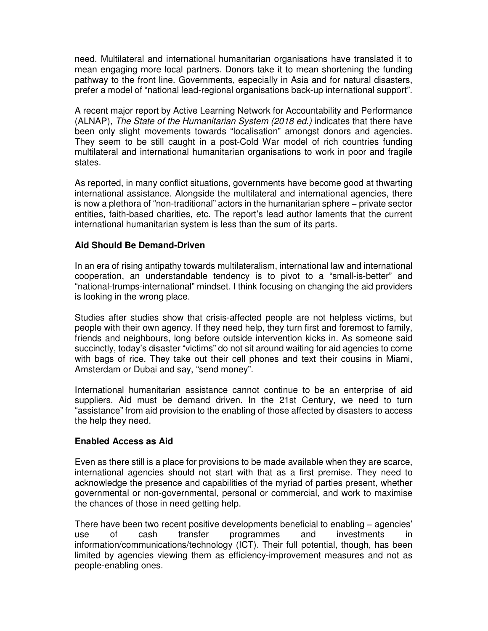need. Multilateral and international humanitarian organisations have translated it to mean engaging more local partners. Donors take it to mean shortening the funding pathway to the front line. Governments, especially in Asia and for natural disasters, prefer a model of "national lead-regional organisations back-up international support".

A recent major report by Active Learning Network for Accountability and Performance (ALNAP), The State of the Humanitarian System (2018 ed.) indicates that there have been only slight movements towards "localisation" amongst donors and agencies. They seem to be still caught in a post-Cold War model of rich countries funding multilateral and international humanitarian organisations to work in poor and fragile states.

As reported, in many conflict situations, governments have become good at thwarting international assistance. Alongside the multilateral and international agencies, there is now a plethora of "non-traditional" actors in the humanitarian sphere − private sector entities, faith-based charities, etc. The report's lead author laments that the current international humanitarian system is less than the sum of its parts.

#### **Aid Should Be Demand-Driven**

In an era of rising antipathy towards multilateralism, international law and international cooperation, an understandable tendency is to pivot to a "small-is-better" and "national-trumps-international" mindset. I think focusing on changing the aid providers is looking in the wrong place.

Studies after studies show that crisis-affected people are not helpless victims, but people with their own agency. If they need help, they turn first and foremost to family, friends and neighbours, long before outside intervention kicks in. As someone said succinctly, today's disaster "victims" do not sit around waiting for aid agencies to come with bags of rice. They take out their cell phones and text their cousins in Miami, Amsterdam or Dubai and say, "send money".

International humanitarian assistance cannot continue to be an enterprise of aid suppliers. Aid must be demand driven. In the 21st Century, we need to turn "assistance" from aid provision to the enabling of those affected by disasters to access the help they need.

#### **Enabled Access as Aid**

Even as there still is a place for provisions to be made available when they are scarce, international agencies should not start with that as a first premise. They need to acknowledge the presence and capabilities of the myriad of parties present, whether governmental or non-governmental, personal or commercial, and work to maximise the chances of those in need getting help.

There have been two recent positive developments beneficial to enabling − agencies' use of cash transfer programmes and investments in information/communications/technology (ICT). Their full potential, though, has been limited by agencies viewing them as efficiency-improvement measures and not as people-enabling ones.